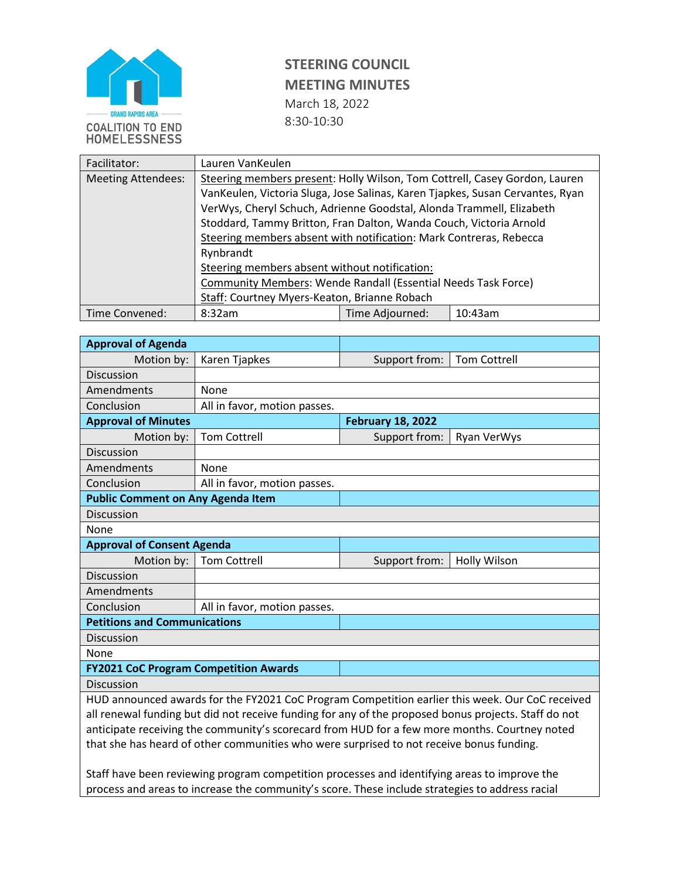

## **STEERING COUNCIL MEETING MINUTES** March 18, 2022 8:30-10:30

| Facilitator:              | Lauren VanKeulen                                                              |                 |         |  |
|---------------------------|-------------------------------------------------------------------------------|-----------------|---------|--|
| <b>Meeting Attendees:</b> | Steering members present: Holly Wilson, Tom Cottrell, Casey Gordon, Lauren    |                 |         |  |
|                           | VanKeulen, Victoria Sluga, Jose Salinas, Karen Tjapkes, Susan Cervantes, Ryan |                 |         |  |
|                           | VerWys, Cheryl Schuch, Adrienne Goodstal, Alonda Trammell, Elizabeth          |                 |         |  |
|                           | Stoddard, Tammy Britton, Fran Dalton, Wanda Couch, Victoria Arnold            |                 |         |  |
|                           | Steering members absent with notification: Mark Contreras, Rebecca            |                 |         |  |
|                           | Rynbrandt<br>Steering members absent without notification:                    |                 |         |  |
|                           |                                                                               |                 |         |  |
|                           | Community Members: Wende Randall (Essential Needs Task Force)                 |                 |         |  |
|                           | Staff: Courtney Myers-Keaton, Brianne Robach                                  |                 |         |  |
| Time Convened:            | 8:32am                                                                        | Time Adjourned: | 10:43am |  |

| <b>Approval of Agenda</b>                                                                            |                              |                          |                     |  |  |
|------------------------------------------------------------------------------------------------------|------------------------------|--------------------------|---------------------|--|--|
| Motion by:                                                                                           | Karen Tjapkes                | Support from:            | <b>Tom Cottrell</b> |  |  |
| <b>Discussion</b>                                                                                    |                              |                          |                     |  |  |
| Amendments                                                                                           | None                         |                          |                     |  |  |
| Conclusion                                                                                           | All in favor, motion passes. |                          |                     |  |  |
| <b>Approval of Minutes</b>                                                                           |                              | <b>February 18, 2022</b> |                     |  |  |
| Motion by:                                                                                           | <b>Tom Cottrell</b>          | Support from:            | Ryan VerWys         |  |  |
| <b>Discussion</b>                                                                                    |                              |                          |                     |  |  |
| Amendments                                                                                           | None                         |                          |                     |  |  |
| Conclusion                                                                                           | All in favor, motion passes. |                          |                     |  |  |
| <b>Public Comment on Any Agenda Item</b>                                                             |                              |                          |                     |  |  |
| <b>Discussion</b>                                                                                    |                              |                          |                     |  |  |
| None                                                                                                 |                              |                          |                     |  |  |
| <b>Approval of Consent Agenda</b>                                                                    |                              |                          |                     |  |  |
| Motion by:                                                                                           | <b>Tom Cottrell</b>          | Support from:            | <b>Holly Wilson</b> |  |  |
| <b>Discussion</b>                                                                                    |                              |                          |                     |  |  |
| Amendments                                                                                           |                              |                          |                     |  |  |
| Conclusion                                                                                           | All in favor, motion passes. |                          |                     |  |  |
| <b>Petitions and Communications</b>                                                                  |                              |                          |                     |  |  |
| Discussion                                                                                           |                              |                          |                     |  |  |
| None                                                                                                 |                              |                          |                     |  |  |
| <b>FY2021 CoC Program Competition Awards</b>                                                         |                              |                          |                     |  |  |
| <b>Discussion</b>                                                                                    |                              |                          |                     |  |  |
| HUD announced awards for the FY2021 CoC Program Competition earlier this week. Our CoC received      |                              |                          |                     |  |  |
| all renewal funding but did not receive funding for any of the proposed bonus projects. Staff do not |                              |                          |                     |  |  |
| anticipate receiving the community's scorecard from HUD for a few more months. Courtney noted        |                              |                          |                     |  |  |
| that she has heard of other communities who were surprised to not receive bonus funding.             |                              |                          |                     |  |  |
|                                                                                                      |                              |                          |                     |  |  |
| Staff have been reviewing program competition processes and identifying areas to improve the         |                              |                          |                     |  |  |

process and areas to increase the community's score. These include strategies to address racial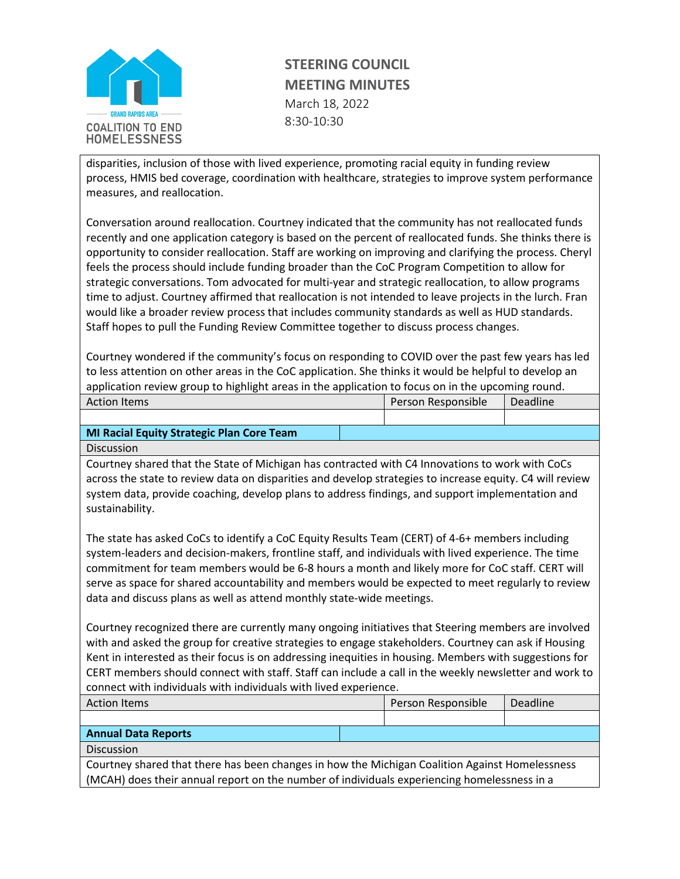

## **STEERING COUNCIL MEETING MINUTES** March 18, 2022 8:30-10:30

disparities, inclusion of those with lived experience, promoting racial equity in funding review process, HMIS bed coverage, coordination with healthcare, strategies to improve system performance measures, and reallocation.

Conversation around reallocation. Courtney indicated that the community has not reallocated funds recently and one application category is based on the percent of reallocated funds. She thinks there is opportunity to consider reallocation. Staff are working on improving and clarifying the process. Cheryl feels the process should include funding broader than the CoC Program Competition to allow for strategic conversations. Tom advocated for multi-year and strategic reallocation, to allow programs time to adjust. Courtney affirmed that reallocation is not intended to leave projects in the lurch. Fran would like a broader review process that includes community standards as well as HUD standards. Staff hopes to pull the Funding Review Committee together to discuss process changes.

Courtney wondered if the community's focus on responding to COVID over the past few years has led to less attention on other areas in the CoC application. She thinks it would be helpful to develop an application review group to highlight areas in the application to focus on in the upcoming round.

| <b>Action Items</b> | Person Responsible | Deadline |
|---------------------|--------------------|----------|
|                     |                    |          |
|                     |                    |          |

## **MI Racial Equity Strategic Plan Core Team**

**Discussion** 

Courtney shared that the State of Michigan has contracted with C4 Innovations to work with CoCs across the state to review data on disparities and develop strategies to increase equity. C4 will review system data, provide coaching, develop plans to address findings, and support implementation and sustainability.

The state has asked CoCs to identify a CoC Equity Results Team (CERT) of 4-6+ members including system-leaders and decision-makers, frontline staff, and individuals with lived experience. The time commitment for team members would be 6-8 hours a month and likely more for CoC staff. CERT will serve as space for shared accountability and members would be expected to meet regularly to review data and discuss plans as well as attend monthly state-wide meetings.

Courtney recognized there are currently many ongoing initiatives that Steering members are involved with and asked the group for creative strategies to engage stakeholders. Courtney can ask if Housing Kent in interested as their focus is on addressing inequities in housing. Members with suggestions for CERT members should connect with staff. Staff can include a call in the weekly newsletter and work to connect with individuals with individuals with lived experience.

| <b>Action Items</b>                                                                                                                                                                           |  | Person Responsible | <b>Deadline</b> |
|-----------------------------------------------------------------------------------------------------------------------------------------------------------------------------------------------|--|--------------------|-----------------|
|                                                                                                                                                                                               |  |                    |                 |
| <b>Annual Data Reports</b>                                                                                                                                                                    |  |                    |                 |
| <b>Discussion</b>                                                                                                                                                                             |  |                    |                 |
| Courtney shared that there has been changes in how the Michigan Coalition Against Homelessness<br>(MCAH) does their annual report on the number of individuals experiencing homelessness in a |  |                    |                 |